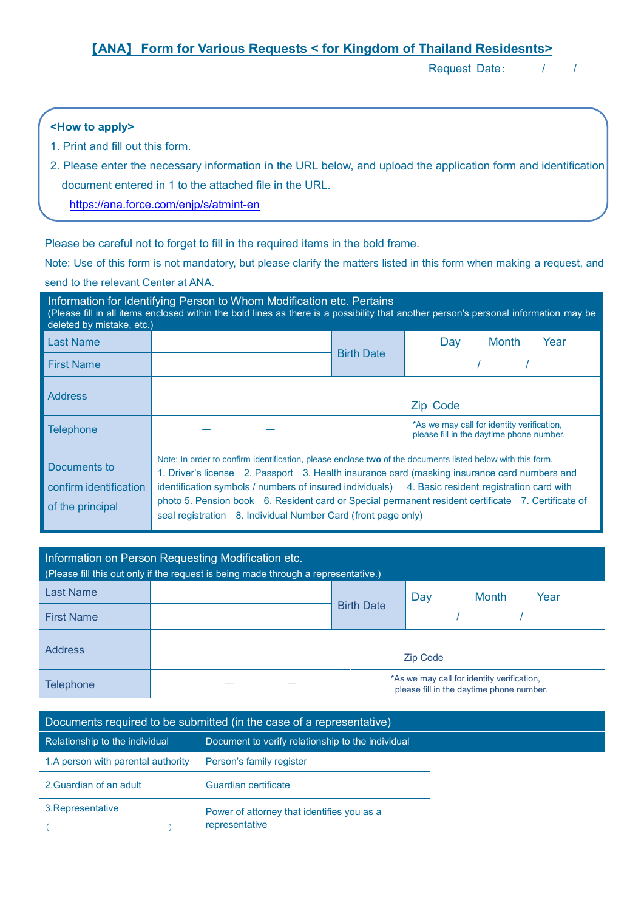# 【**ANA**】 **Form for Various Requests < for Kingdom of Thailand Residesnts>**

Request Date: / /

## **<How to apply>**

- 1. Print and fill out this form.
- 2. Please enter the necessary information in the URL below, and upload the application form and identification document entered in 1 to the attached file in the URL.

<https://ana.force.com/enjp/s/atmint-en>

Please be careful not to forget to fill in the required items in the bold frame.

Note: Use of this form is not mandatory, but please clarify the matters listed in this form when making a request, and send to the relevant Center at ANA.

| Information for Identifying Person to Whom Modification etc. Pertains<br>(Please fill in all items enclosed within the bold lines as there is a possibility that another person's personal information may be<br>deleted by mistake, etc.) |                                                                                                                                                                                                                                                                                                                                                                                  |                   |                                                                                                    |  |
|--------------------------------------------------------------------------------------------------------------------------------------------------------------------------------------------------------------------------------------------|----------------------------------------------------------------------------------------------------------------------------------------------------------------------------------------------------------------------------------------------------------------------------------------------------------------------------------------------------------------------------------|-------------------|----------------------------------------------------------------------------------------------------|--|
| <b>Last Name</b>                                                                                                                                                                                                                           |                                                                                                                                                                                                                                                                                                                                                                                  |                   | Year<br>Month<br>Dav                                                                               |  |
| <b>First Name</b>                                                                                                                                                                                                                          |                                                                                                                                                                                                                                                                                                                                                                                  | <b>Birth Date</b> |                                                                                                    |  |
| <b>Address</b>                                                                                                                                                                                                                             |                                                                                                                                                                                                                                                                                                                                                                                  |                   | Zip Code                                                                                           |  |
| <b>Telephone</b>                                                                                                                                                                                                                           |                                                                                                                                                                                                                                                                                                                                                                                  |                   | *As we may call for identity verification,<br>please fill in the daytime phone number.             |  |
| Documents to<br>confirm identification<br>of the principal                                                                                                                                                                                 | Note: In order to confirm identification, please enclose two of the documents listed below with this form.<br>1. Driver's license 2. Passport 3. Health insurance card (masking insurance card numbers and<br>identification symbols / numbers of insured individuals) 4. Basic resident registration card with<br>seal registration 8. Individual Number Card (front page only) |                   | photo 5. Pension book 6. Resident card or Special permanent resident certificate 7. Certificate of |  |

| Information on Person Requesting Modification etc.<br>(Please fill this out only if the request is being made through a representative.) |  |                   |                                                                                        |  |
|------------------------------------------------------------------------------------------------------------------------------------------|--|-------------------|----------------------------------------------------------------------------------------|--|
| <b>Last Name</b>                                                                                                                         |  |                   | <b>Month</b><br>Year<br>Day                                                            |  |
| <b>First Name</b>                                                                                                                        |  | <b>Birth Date</b> |                                                                                        |  |
| <b>Address</b>                                                                                                                           |  |                   | <b>Zip Code</b>                                                                        |  |
| <b>Telephone</b>                                                                                                                         |  |                   | *As we may call for identity verification,<br>please fill in the daytime phone number. |  |

| Documents required to be submitted (in the case of a representative) |                                                              |  |  |
|----------------------------------------------------------------------|--------------------------------------------------------------|--|--|
| Relationship to the individual                                       | Document to verify relationship to the individual            |  |  |
| 1.A person with parental authority                                   | Person's family register                                     |  |  |
| 2. Guardian of an adult                                              | Guardian certificate                                         |  |  |
| 3. Representative                                                    | Power of attorney that identifies you as a<br>representative |  |  |